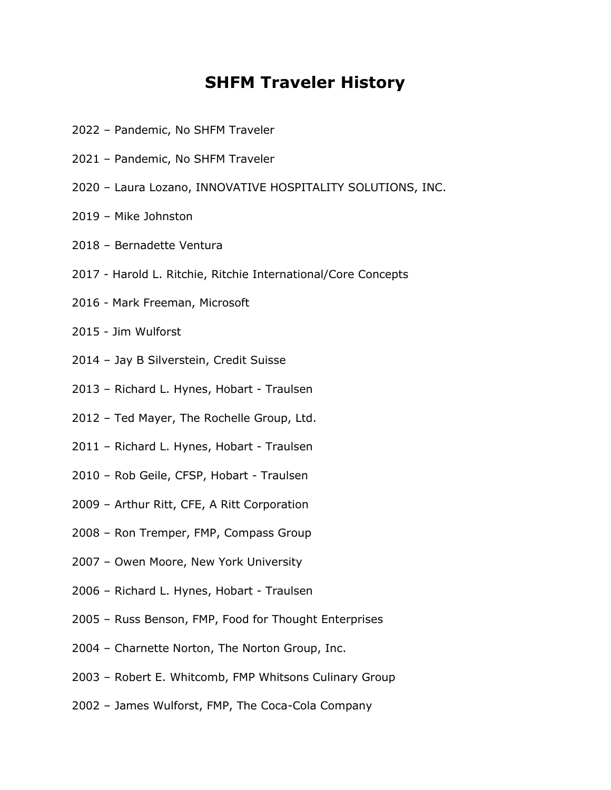## **SHFM Traveler History**

- Pandemic, No SHFM Traveler
- Pandemic, No SHFM Traveler
- Laura Lozano, INNOVATIVE HOSPITALITY SOLUTIONS, INC.
- Mike Johnston
- Bernadette Ventura
- 2017 Harold L. Ritchie, Ritchie International/Core Concepts
- 2016 Mark Freeman, Microsoft
- 2015 Jim Wulforst
- Jay B Silverstein, Credit Suisse
- Richard L. Hynes, Hobart Traulsen
- Ted Mayer, The Rochelle Group, Ltd.
- Richard L. Hynes, Hobart Traulsen
- Rob Geile, CFSP, Hobart Traulsen
- Arthur Ritt, CFE, A Ritt Corporation
- Ron Tremper, FMP, Compass Group
- Owen Moore, New York University
- Richard L. Hynes, Hobart Traulsen
- Russ Benson, FMP, Food for Thought Enterprises
- Charnette Norton, The Norton Group, Inc.
- Robert E. Whitcomb, FMP Whitsons Culinary Group
- James Wulforst, FMP, The Coca-Cola Company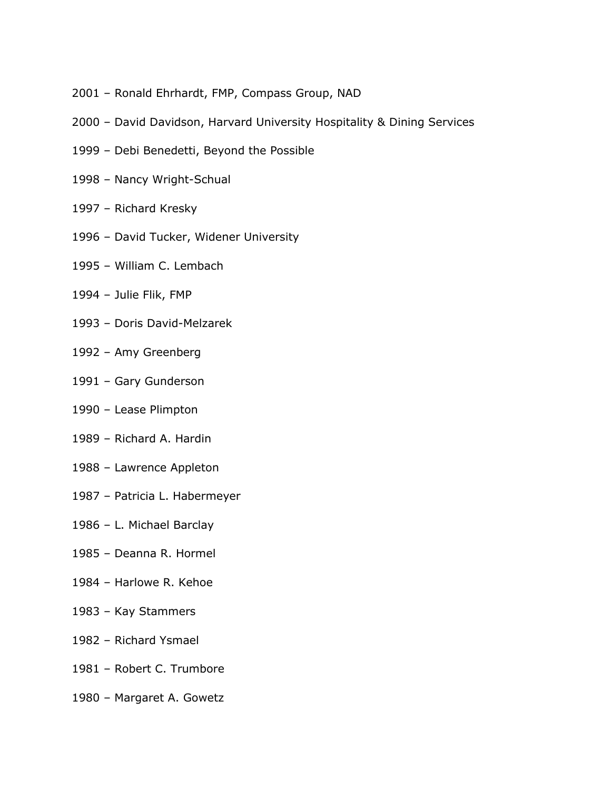- Ronald Ehrhardt, FMP, Compass Group, NAD
- David Davidson, Harvard University Hospitality & Dining Services
- Debi Benedetti, Beyond the Possible
- Nancy Wright-Schual
- Richard Kresky
- David Tucker, Widener University
- William C. Lembach
- Julie Flik, FMP
- Doris David-Melzarek
- Amy Greenberg
- Gary Gunderson
- Lease Plimpton
- Richard A. Hardin
- Lawrence Appleton
- Patricia L. Habermeyer
- L. Michael Barclay
- Deanna R. Hormel
- Harlowe R. Kehoe
- Kay Stammers
- Richard Ysmael
- Robert C. Trumbore
- Margaret A. Gowetz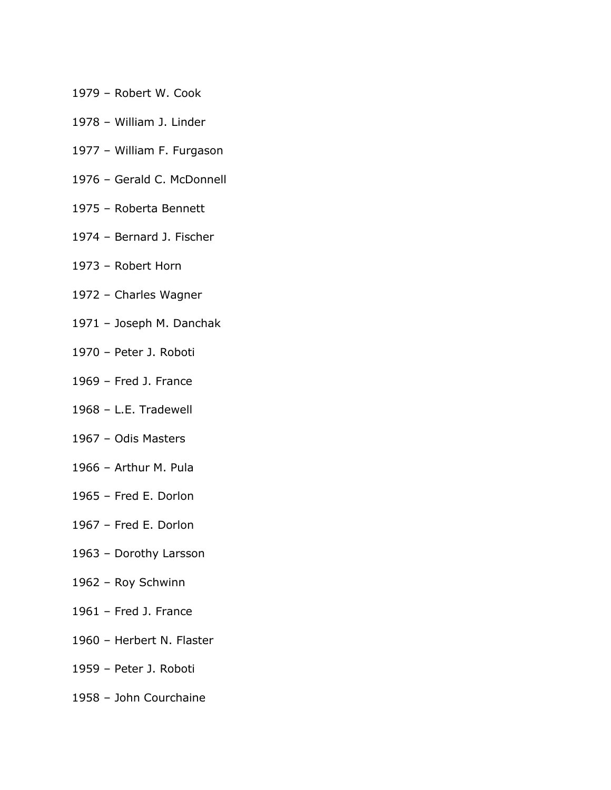- Robert W. Cook
- William J. Linder
- William F. Furgason
- Gerald C. McDonnell
- Roberta Bennett
- Bernard J. Fischer
- Robert Horn
- Charles Wagner
- Joseph M. Danchak
- Peter J. Roboti
- Fred J. France
- L.E. Tradewell
- Odis Masters
- Arthur M. Pula
- Fred E. Dorlon
- Fred E. Dorlon
- Dorothy Larsson
- Roy Schwinn
- Fred J. France
- Herbert N. Flaster
- Peter J. Roboti
- John Courchaine